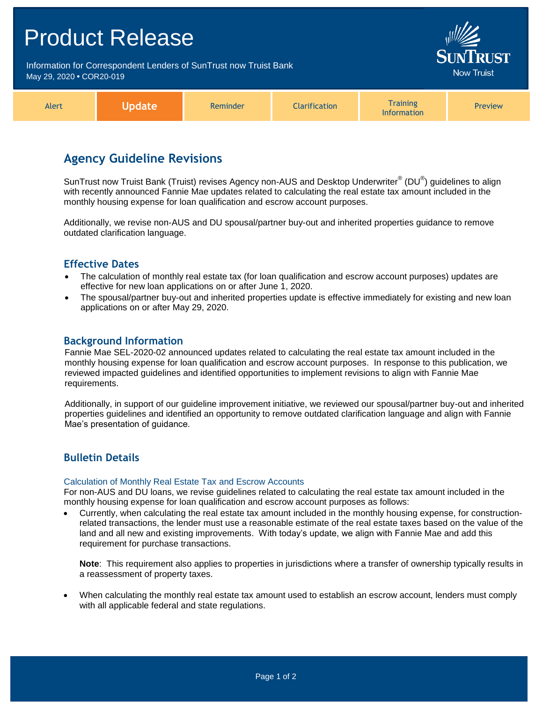| <b>Product Release</b>                                                                        |               |          |               |                                       |                                      |  |
|-----------------------------------------------------------------------------------------------|---------------|----------|---------------|---------------------------------------|--------------------------------------|--|
| Information for Correspondent Lenders of SunTrust now Truist Bank<br>May 29, 2020 . COR20-019 |               |          |               |                                       | <b>SUNTRUST</b><br><b>Now Truist</b> |  |
| Alert                                                                                         | <b>Update</b> | Reminder | Clarification | <b>Training</b><br><b>Information</b> | Preview                              |  |

## **Agency Guideline Revisions**

SunTrust now Truist Bank (Truist) revises Agency non-AUS and Desktop Underwriter® (DU®) guidelines to align with recently announced Fannie Mae updates related to calculating the real estate tax amount included in the monthly housing expense for loan qualification and escrow account purposes.

Additionally, we revise non-AUS and DU spousal/partner buy-out and inherited properties guidance to remove outdated clarification language.

## **Effective Dates**

- The calculation of monthly real estate tax (for loan qualification and escrow account purposes) updates are effective for new loan applications on or after June 1, 2020.
- The spousal/partner buy-out and inherited properties update is effective immediately for existing and new loan applications on or after May 29, 2020.

#### **Background Information**

Fannie Mae SEL-2020-02 announced updates related to calculating the real estate tax amount included in the monthly housing expense for loan qualification and escrow account purposes. In response to this publication, we reviewed impacted guidelines and identified opportunities to implement revisions to align with Fannie Mae requirements.

Additionally, in support of our guideline improvement initiative, we reviewed our spousal/partner buy-out and inherited properties guidelines and identified an opportunity to remove outdated clarification language and align with Fannie Mae's presentation of guidance.

## **Bulletin Details**

#### Calculation of Monthly Real Estate Tax and Escrow Accounts

For non-AUS and DU loans, we revise guidelines related to calculating the real estate tax amount included in the monthly housing expense for loan qualification and escrow account purposes as follows:

 Currently, when calculating the real estate tax amount included in the monthly housing expense, for constructionrelated transactions, the lender must use a reasonable estimate of the real estate taxes based on the value of the land and all new and existing improvements. With today's update, we align with Fannie Mae and add this requirement for purchase transactions.

**Note**: This requirement also applies to properties in jurisdictions where a transfer of ownership typically results in a reassessment of property taxes.

 When calculating the monthly real estate tax amount used to establish an escrow account, lenders must comply with all applicable federal and state regulations.